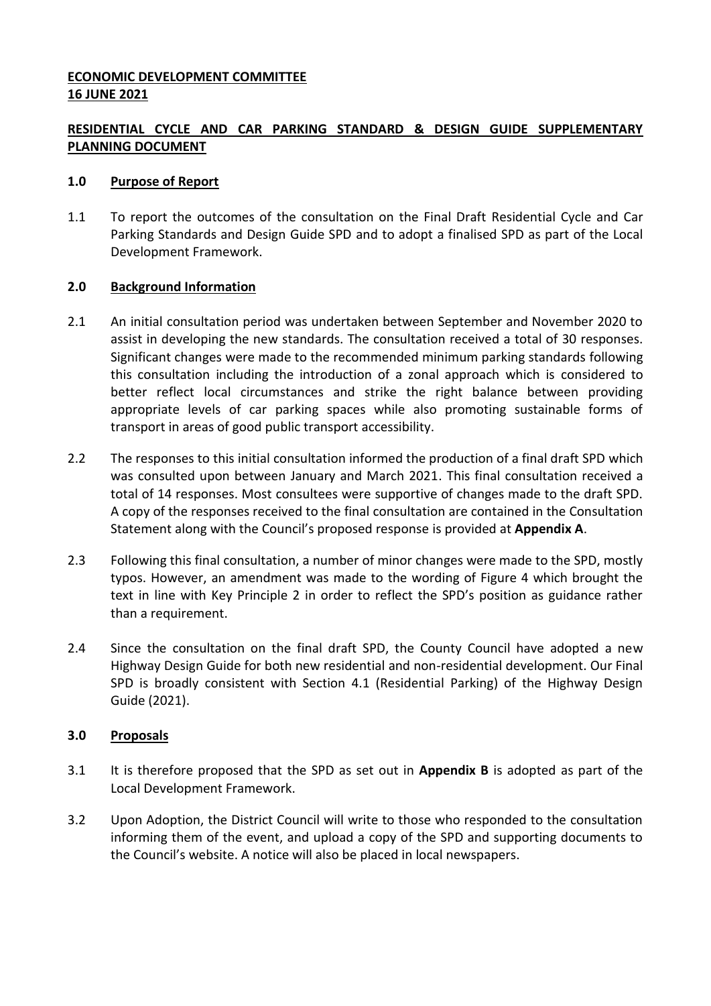## **ECONOMIC DEVELOPMENT COMMITTEE 16 JUNE 2021**

## **RESIDENTIAL CYCLE AND CAR PARKING STANDARD & DESIGN GUIDE SUPPLEMENTARY PLANNING DOCUMENT**

#### **1.0 Purpose of Report**

1.1 To report the outcomes of the consultation on the Final Draft Residential Cycle and Car Parking Standards and Design Guide SPD and to adopt a finalised SPD as part of the Local Development Framework.

#### **2.0 Background Information**

- 2.1 An initial consultation period was undertaken between September and November 2020 to assist in developing the new standards. The consultation received a total of 30 responses. Significant changes were made to the recommended minimum parking standards following this consultation including the introduction of a zonal approach which is considered to better reflect local circumstances and strike the right balance between providing appropriate levels of car parking spaces while also promoting sustainable forms of transport in areas of good public transport accessibility.
- 2.2 The responses to this initial consultation informed the production of a final draft SPD which was consulted upon between January and March 2021. This final consultation received a total of 14 responses. Most consultees were supportive of changes made to the draft SPD. A copy of the responses received to the final consultation are contained in the Consultation Statement along with the Council's proposed response is provided at **Appendix A**.
- 2.3 Following this final consultation, a number of minor changes were made to the SPD, mostly typos. However, an amendment was made to the wording of Figure 4 which brought the text in line with Key Principle 2 in order to reflect the SPD's position as guidance rather than a requirement.
- 2.4 Since the consultation on the final draft SPD, the County Council have adopted a new Highway Design Guide for both new residential and non-residential development. Our Final SPD is broadly consistent with Section 4.1 (Residential Parking) of the Highway Design Guide (2021).

#### **3.0 Proposals**

- 3.1 It is therefore proposed that the SPD as set out in **Appendix B** is adopted as part of the Local Development Framework.
- 3.2 Upon Adoption, the District Council will write to those who responded to the consultation informing them of the event, and upload a copy of the SPD and supporting documents to the Council's website. A notice will also be placed in local newspapers.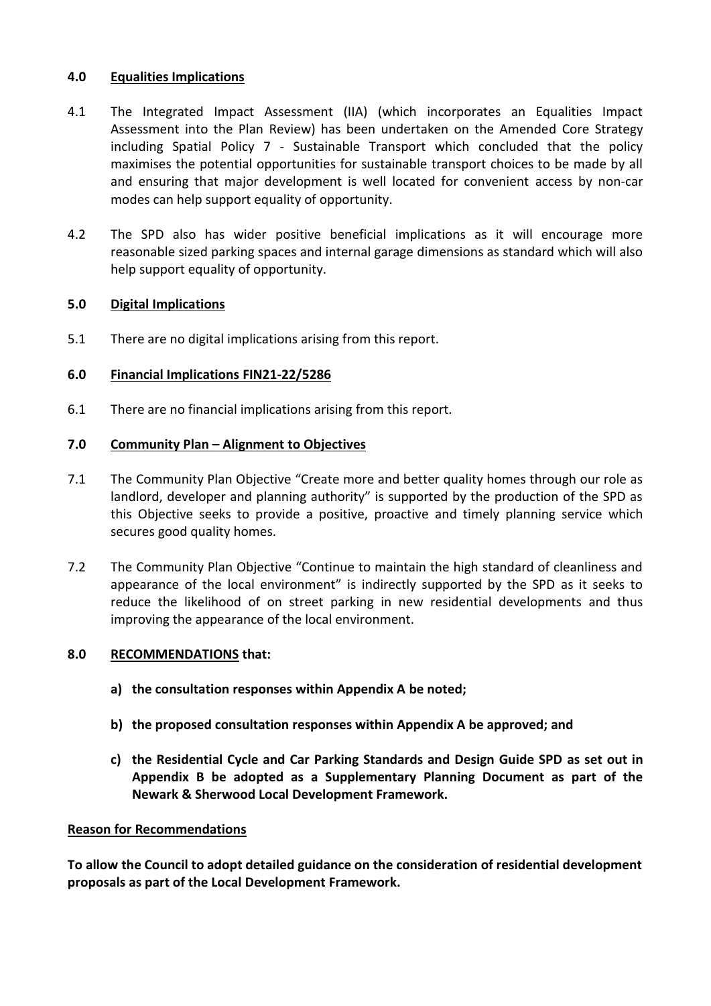#### **4.0 Equalities Implications**

- 4.1 The Integrated Impact Assessment (IIA) (which incorporates an Equalities Impact Assessment into the Plan Review) has been undertaken on the Amended Core Strategy including Spatial Policy 7 - Sustainable Transport which concluded that the policy maximises the potential opportunities for sustainable transport choices to be made by all and ensuring that major development is well located for convenient access by non-car modes can help support equality of opportunity.
- 4.2 The SPD also has wider positive beneficial implications as it will encourage more reasonable sized parking spaces and internal garage dimensions as standard which will also help support equality of opportunity.

## **5.0 Digital Implications**

5.1 There are no digital implications arising from this report.

# **6.0 Financial Implications FIN21-22/5286**

6.1 There are no financial implications arising from this report*.*

# **7.0 Community Plan – Alignment to Objectives**

- 7.1 The Community Plan Objective "Create more and better quality homes through our role as landlord, developer and planning authority" is supported by the production of the SPD as this Objective seeks to provide a positive, proactive and timely planning service which secures good quality homes.
- 7.2 The Community Plan Objective "Continue to maintain the high standard of cleanliness and appearance of the local environment" is indirectly supported by the SPD as it seeks to reduce the likelihood of on street parking in new residential developments and thus improving the appearance of the local environment.

## **8.0 RECOMMENDATIONS that:**

- **a) the consultation responses within Appendix A be noted;**
- **b) the proposed consultation responses within Appendix A be approved; and**
- **c) the Residential Cycle and Car Parking Standards and Design Guide SPD as set out in Appendix B be adopted as a Supplementary Planning Document as part of the Newark & Sherwood Local Development Framework.**

## **Reason for Recommendations**

**To allow the Council to adopt detailed guidance on the consideration of residential development proposals as part of the Local Development Framework.**